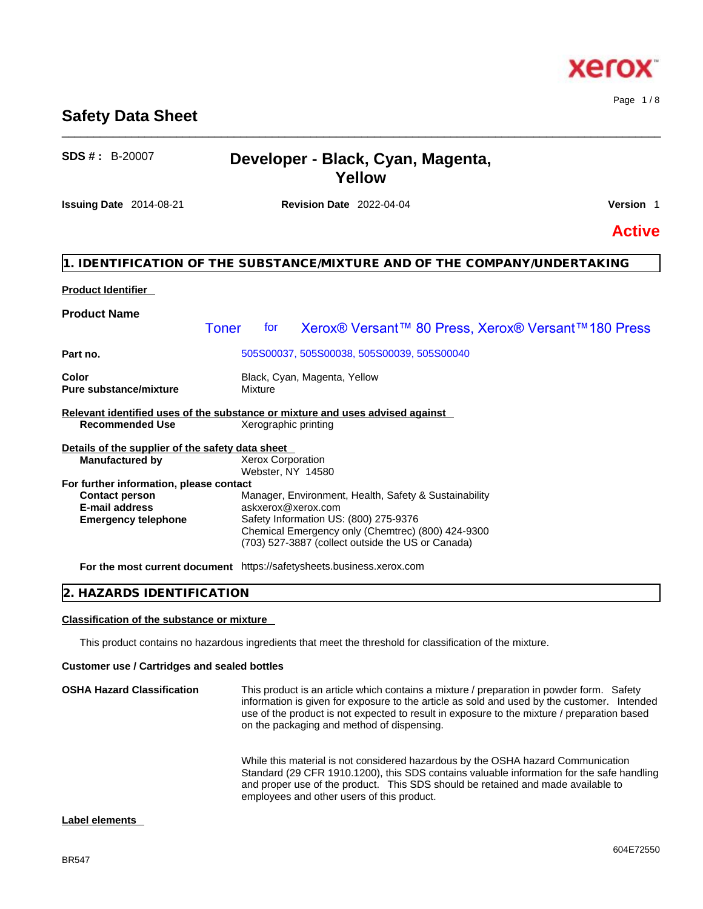## BR547

## **Safety Data Sheet**

## **SDS # :** B-20007 **Developer - Black, Cyan, Magenta, Yellow**

\_\_\_\_\_\_\_\_\_\_\_\_\_\_\_\_\_\_\_\_\_\_\_\_\_\_\_\_\_\_\_\_\_\_\_\_\_\_\_\_\_\_\_\_\_\_\_\_\_\_\_\_\_\_\_\_\_\_\_\_\_\_\_\_\_\_\_\_\_\_\_\_\_\_\_\_\_\_\_\_\_\_\_\_\_\_\_\_\_\_\_\_\_\_

**Issuing Date** 2014-08-21 **Revision Date** 2022-04-04 **Version** 1

## **Active**

## **1. IDENTIFICATION OF THE SUBSTANCE/MIXTURE AND OF THE COMPANY/UNDERTAKING**

#### **Product Identifier**

| <b>Product Name</b>                                                          |                                               |                                                                                                                      |
|------------------------------------------------------------------------------|-----------------------------------------------|----------------------------------------------------------------------------------------------------------------------|
|                                                                              | <b>Toner</b><br>tor                           | Xerox® Versant™ 80 Press, Xerox® Versant™180 Press                                                                   |
| Part no.                                                                     |                                               | 505S00037, 505S00038, 505S00039, 505S00040                                                                           |
| Color<br><b>Pure substance/mixture</b>                                       | Mixture                                       | Black, Cyan, Magenta, Yellow                                                                                         |
|                                                                              |                                               | Relevant identified uses of the substance or mixture and uses advised against                                        |
| <b>Recommended Use</b>                                                       | Xerographic printing                          |                                                                                                                      |
| Details of the supplier of the safety data sheet                             |                                               |                                                                                                                      |
| <b>Manufactured by</b>                                                       | <b>Xerox Corporation</b><br>Webster, NY 14580 |                                                                                                                      |
| For further information, please contact                                      |                                               |                                                                                                                      |
| <b>Contact person</b><br><b>E-mail address</b><br><b>Emergency telephone</b> |                                               | Manager, Environment, Health, Safety & Sustainability<br>askxerox@xerox.com<br>Safety Information US: (800) 275-9376 |
|                                                                              |                                               | Chemical Emergency only (Chemtrec) (800) 424-9300<br>(703) 527-3887 (collect outside the US or Canada)               |
|                                                                              |                                               | For the most current document https://safetysheets.business.xerox.com                                                |

### **2. HAZARDS IDENTIFICATION**

#### **Classification of the substance or mixture**

This product contains no hazardous ingredients that meet the threshold for classification of the mixture.

#### **Customer use / Cartridges and sealed bottles**

| <b>OSHA Hazard Classification</b> | This product is an article which contains a mixture / preparation in powder form. Safety<br>information is given for exposure to the article as sold and used by the customer. Intended<br>use of the product is not expected to result in exposure to the mixture / preparation based<br>on the packaging and method of dispensing. |
|-----------------------------------|--------------------------------------------------------------------------------------------------------------------------------------------------------------------------------------------------------------------------------------------------------------------------------------------------------------------------------------|
|                                   | While this material is not considered hazardous by the OSHA hazard Communication<br>Standard (29 CFR 1910.1200), this SDS contains valuable information for the safe handling<br>and proper use of the product. This SDS should be retained and made available to<br>employees and other users of this product.                      |

#### **Label elements**

Page 1 / 8

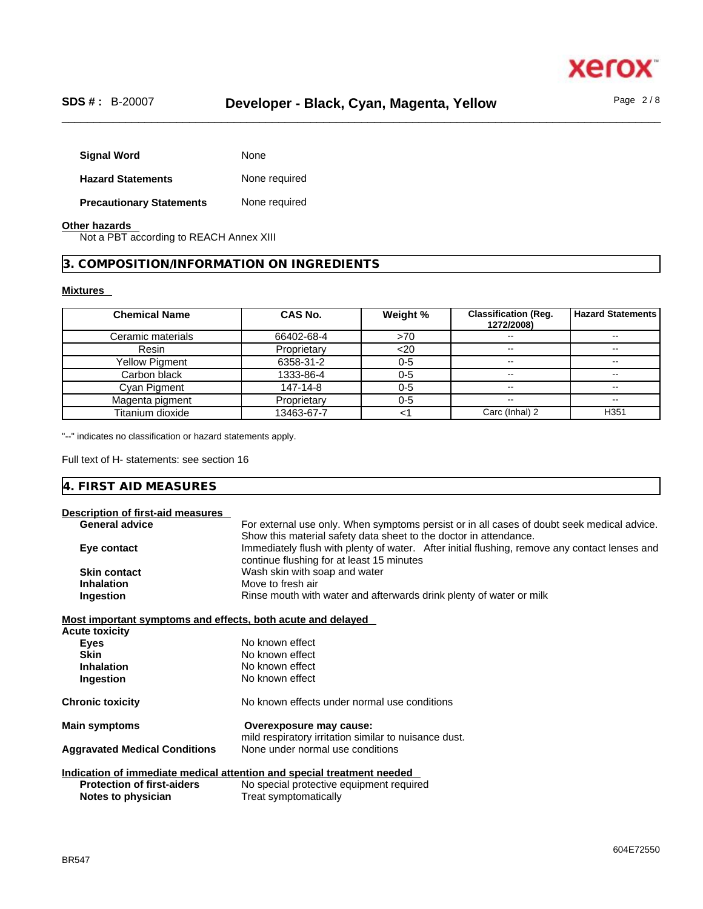

| <b>Signal Word</b>              | None          |
|---------------------------------|---------------|
| <b>Hazard Statements</b>        | None required |
| <b>Precautionary Statements</b> | None required |

#### **Other hazards**

Not a PBT according to REACH Annex XIII

## **3. COMPOSITION/INFORMATION ON INGREDIENTS**

#### **Mixtures**

| <b>Chemical Name</b>  | CAS No.     | Weight % | <b>Classification (Reg.</b><br>1272/2008) | <b>Hazard Statements</b> |
|-----------------------|-------------|----------|-------------------------------------------|--------------------------|
| Ceramic materials     | 66402-68-4  | >70      | --                                        | $- -$                    |
| Resin                 | Proprietary | $<$ 20   | $- -$                                     | $- -$                    |
| <b>Yellow Pigment</b> | 6358-31-2   | $0 - 5$  | $\sim$ $\sim$                             | $- -$                    |
| Carbon black          | 1333-86-4   | $0 - 5$  | $\sim$                                    | $\sim$ $\sim$            |
| Cyan Pigment          | 147-14-8    | $0 - 5$  | $\sim$ $\sim$                             | $- -$                    |
| Magenta pigment       | Proprietary | $0 - 5$  | $- -$                                     | $- -$                    |
| Titanium dioxide      | 13463-67-7  |          | Carc (Inhal) 2                            | H <sub>351</sub>         |

"--" indicates no classification or hazard statements apply.

Full text of H- statements: see section 16

# **4. FIRST AID MEASURES**

| Description of first-aid measures                           |                                                                                               |
|-------------------------------------------------------------|-----------------------------------------------------------------------------------------------|
| <b>General advice</b>                                       | For external use only. When symptoms persist or in all cases of doubt seek medical advice.    |
|                                                             | Show this material safety data sheet to the doctor in attendance.                             |
| Eye contact                                                 | Immediately flush with plenty of water. After initial flushing, remove any contact lenses and |
|                                                             | continue flushing for at least 15 minutes                                                     |
| <b>Skin contact</b>                                         | Wash skin with soap and water                                                                 |
| <b>Inhalation</b>                                           | Move to fresh air                                                                             |
| Ingestion                                                   | Rinse mouth with water and afterwards drink plenty of water or milk                           |
| Most important symptoms and effects, both acute and delayed |                                                                                               |
| <b>Acute toxicity</b>                                       |                                                                                               |
| <b>Eyes</b>                                                 | No known effect                                                                               |
| <b>Skin</b>                                                 | No known effect                                                                               |
| <b>Inhalation</b>                                           | No known effect                                                                               |
| Ingestion                                                   | No known effect                                                                               |
| <b>Chronic toxicity</b>                                     | No known effects under normal use conditions                                                  |
| <b>Main symptoms</b>                                        | Overexposure may cause:                                                                       |
|                                                             | mild respiratory irritation similar to nuisance dust.                                         |
| <b>Aggravated Medical Conditions</b>                        | None under normal use conditions                                                              |
|                                                             | Indication of immediate medical attention and special treatment needed                        |
| <b>Protection of first-aiders</b>                           | No special protective equipment required                                                      |
| Notes to physician                                          | Treat symptomatically                                                                         |
|                                                             |                                                                                               |

BR547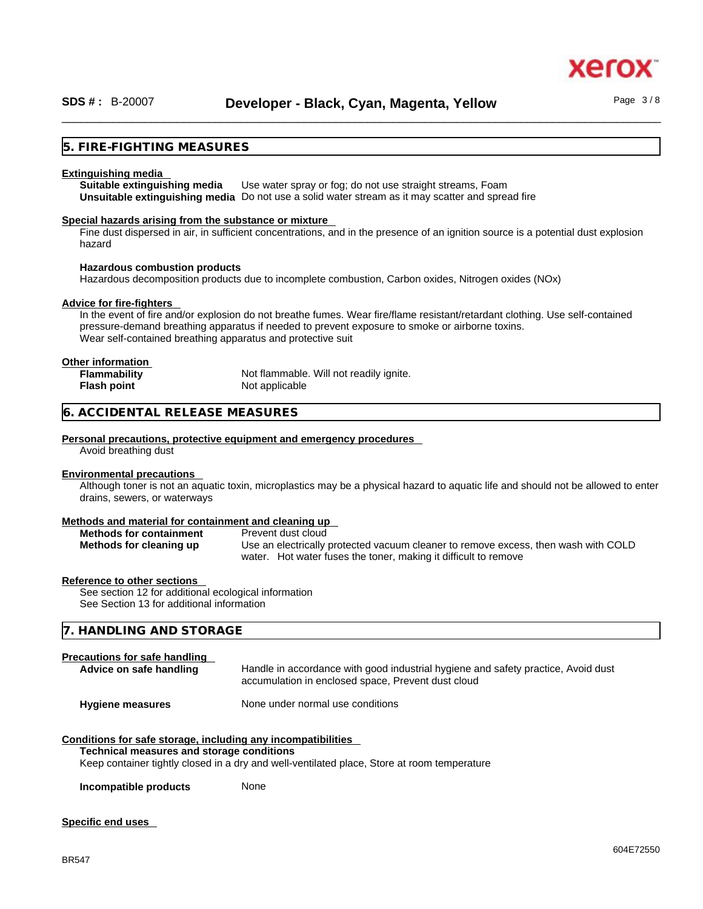### **5. FIRE-FIGHTING MEASURES**

#### **Extinguishing media**

**Suitable extinguishing media** Use water spray or fog; do not use straight streams, Foam **Unsuitable extinguishing media** Do not use a solid water stream as it may scatterand spread fire

#### **Special hazards arising from the substance or mixture**

Fine dust dispersed in air, in sufficient concentrations, and in the presence of an ignition source is a potential dust explosion hazard

#### **Hazardous combustion products**

Hazardous decomposition products due to incomplete combustion, Carbon oxides, Nitrogen oxides (NOx)

#### **Advice for fire-fighters**

In the event of fire and/or explosion do not breathe fumes. Wear fire/flame resistant/retardant clothing. Use self-contained pressure-demand breathing apparatus if needed to prevent exposure to smoke or airborne toxins. Wear self-contained breathing apparatus and protective suit

#### **Other information**

| <b>Flammability</b> | Not flammable. Will not readily ignite. |
|---------------------|-----------------------------------------|
| Flash point         | Not applicable                          |

#### **6. ACCIDENTAL RELEASE MEASURES**

#### **Personal precautions, protective equipment and emergency procedures**

Avoid breathing dust

#### **Environmental precautions**

Although toner is not an aquatic toxin, microplastics may be a physical hazard to aquatic life and should not be allowed to enter drains, sewers, or waterways

#### **Methods and material for containment and cleaning up**

| <b>Methods for containment</b> | Prevent dust cloud                                                                 |
|--------------------------------|------------------------------------------------------------------------------------|
| Methods for cleaning up        | Use an electrically protected vacuum cleaner to remove excess, then wash with COLD |
|                                | water. Hot water fuses the toner, making it difficult to remove                    |

#### **Reference to other sections**

See section 12 for additional ecological information See Section 13 for additional information

#### **7. HANDLING AND STORAGE**

#### **Precautions for safe handling**

| Advice on safe handling | Handle in accordance with good industrial hygiene and safety practice, Avoid dust<br>accumulation in enclosed space, Prevent dust cloud |
|-------------------------|-----------------------------------------------------------------------------------------------------------------------------------------|
| <b>Hygiene measures</b> | None under normal use conditions                                                                                                        |

### **Conditions for safe storage, including any incompatibilities**

#### **Technical measures and storage conditions**

Keep container tightly closed in a dry and well-ventilated place, Store at room temperature

**Incompatible products** None

#### **Specific end uses**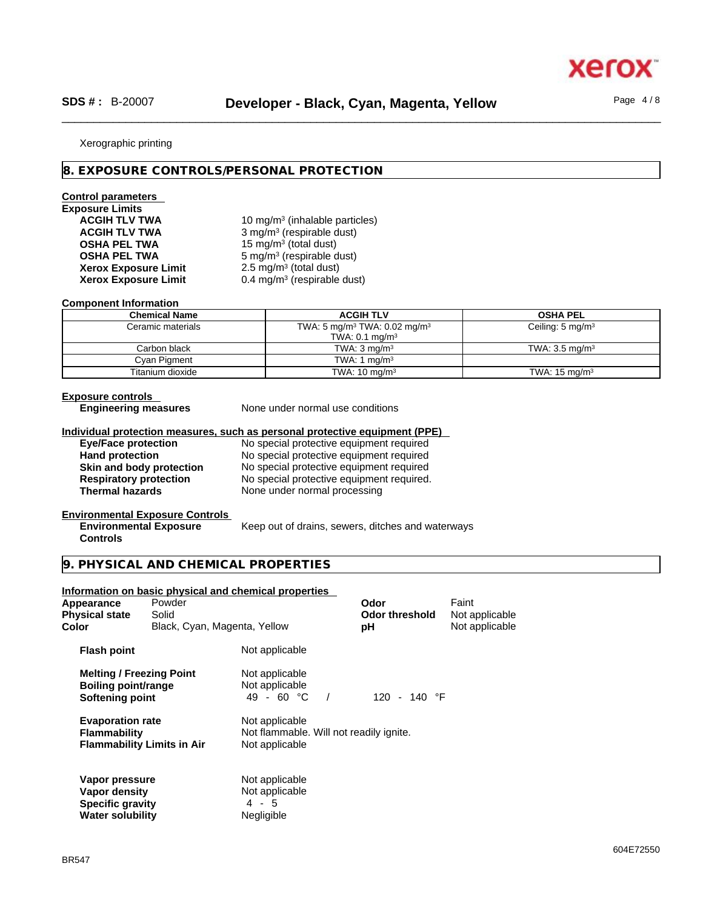xerc

#### Xerographic printing

#### **8. EXPOSURE CONTROLS/PERSONAL PROTECTION**

## **Control parameters**

# **Exposure Limits Xerox Exposure Limit<br>Xerox Exposure Limit**

ACGIH TLV TWA **10 mg/m<sup>3</sup> (inhalable particles) ACGIH TLV TWA** 3 mg/m<sup>3</sup> (respirable dust) **OSHA PEL TWA** 15 mg/m<sup>3</sup> (total dust) **OSHA PEL TWA** 5 mg/m<sup>3</sup> (respirable dust)  $2.5 \text{ mg/m}^3$  (total dust) **Xerox Exposure Limit** 0.4 mg/m<sup>3</sup> (respirable dust)

#### **Component Information**

| <b>Chemical Name</b> | <b>ACGIH TLV</b>                                     | <b>OSHA PEL</b>             |  |
|----------------------|------------------------------------------------------|-----------------------------|--|
| Ceramic materials    | TWA: 5 mg/m <sup>3</sup> TWA: 0.02 mg/m <sup>3</sup> | Ceiling: $5 \text{ mg/m}^3$ |  |
|                      | TWA: $0.1$ mg/m <sup>3</sup>                         |                             |  |
| Carbon black         | TWA: $3 \text{ mg/m}^3$                              | TWA: $3.5 \text{ mg/m}^3$   |  |
| Cyan Pigment         | TWA: 1 $mq/m3$                                       |                             |  |
| Titanium dioxide     | TWA: $10 \text{ mg/m}^3$                             | TWA: $15 \text{ mg/m}^3$    |  |

## **Exposure controls**

**Engineering measures** None under normal use conditions

#### **Individual protection measures, such as personal protective equipment (PPE)**

| <b>Eye/Face protection</b>    | No special protective equipment required  |
|-------------------------------|-------------------------------------------|
| <b>Hand protection</b>        | No special protective equipment required  |
| Skin and body protection      | No special protective equipment required  |
| <b>Respiratory protection</b> | No special protective equipment required. |
| <b>Thermal hazards</b>        | None under normal processing              |

## **Environmental Exposure Controls**

**Environmental Exposure Controls**  Keep out of drains, sewers, ditches and waterways

#### **9. PHYSICAL AND CHEMICAL PROPERTIES**

## **Information on basic physical and chemical properties Melting / Freezing Point** Not applicable<br> **Boiling point/range** Not applicable **Boiling point/range** Not applicable<br> **Softening point** 49 - 60 °C / **Softening point 49 - 60 °C / 120 - 140 °F Evaporation rate** Not applicable **Flammability** Not flammable. Will not readily ignite. **Flammability Limits in Air** Not applicable **Vapor pressure**<br> **Vapor density**<br> **Vapor density**<br> **Property**<br> **Not applicable Vapor density**<br> **Specific aravity** 1 4 - 5 **Specific gravity** 4 - 5<br> **Water solubility** Megligible **Water solubility Appearance** Powder **Consumerance Powder Consumer Powder Consumer Paint Powder Service Powder Powder Powder Powder<br>
<b>Physical state** Solid **Consumer Consumer Powder Consumer Powder Consumer Powder Powder Powder Powder Powd Physical state** Solid **Contract Solid Odor** threshold **Color Black, Cyan, Magenta, Yellow pH Not applicable Flash point** Not applicable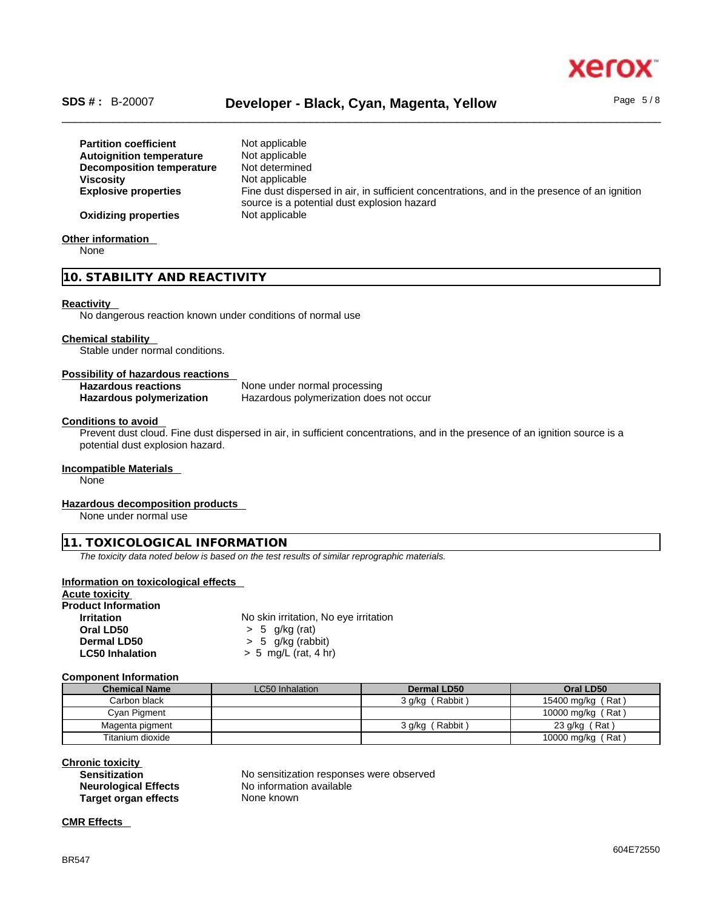

## \_\_\_\_\_\_\_\_\_\_\_\_\_\_\_\_\_\_\_\_\_\_\_\_\_\_\_\_\_\_\_\_\_\_\_\_\_\_\_\_\_\_\_\_\_\_\_\_\_\_\_\_\_\_\_\_\_\_\_\_\_\_\_\_\_\_\_\_\_\_\_\_\_\_\_\_\_\_\_\_\_\_\_\_\_\_\_\_\_\_\_\_\_\_ **SDS # :** B-20007 **Developer - Black, Cyan, Magenta, Yellow** Page 5 / 8

**Partition coefficient** Not applicable **Autoignition temperature** Not applicable<br>**Decomposition temperature** Not determined **Decomposition temperature**<br>Viscosity **Not applicable Explosive properties** Fine dust dispersed in air, in sufficient concentrations, and in the presence of an ignition source is a potential dust explosion hazard **Oxidizing properties** Not applicable

## **Other information**

None

## **10. STABILITY AND REACTIVITY**

#### **Reactivity**

No dangerous reaction known under conditions of normal use

#### **Chemical stability**

Stable under normal conditions.

## **Possibility of hazardous reactions**

| <b>Hazardous reactions</b>      | None under normal processing            |
|---------------------------------|-----------------------------------------|
| <b>Hazardous polymerization</b> | Hazardous polymerization does not occur |

#### **Conditions to avoid**

Prevent dust cloud. Fine dust dispersed in air, in sufficient concentrations, and in the presence of an ignition source is a potential dust explosion hazard.

#### **Incompatible Materials**

None

#### **Hazardous decomposition products**

None under normal use

#### **11. TOXICOLOGICAL INFORMATION**

*The toxicity data noted below is based on the test results of similar reprographic materials.* 

#### **Information on toxicological effects**

## **Acute toxicity**

**Product Information Irritation** No skin irritation, No eye irritation **Oral LD50** > 5 g/kg (rat) **Dermal LD50**  $\rightarrow$  5 g/kg (rabbit)<br> **LC50 Inhalation**  $\rightarrow$  5 mg/L (rat. 4 h **LC50 Inhalation** > 5 mg/L (rat, 4 hr)

#### **Component Information**

| <b>Chemical Name</b> | LC50 Inhalation | Dermal LD50          | Oral LD50         |
|----------------------|-----------------|----------------------|-------------------|
| Carbon black         |                 | (Rabbit)<br>3 g/kg ( | 15400 mg/kg (Rat) |
| Cyan Pigment         |                 |                      | 10000 mg/kg (Rat) |
| Magenta pigment      |                 | Rabbit)<br>3 g/kg (  | 23 $g/kg$ (Rat)   |
| Titanium dioxide     |                 |                      | 10000 mg/kg (Rat) |

#### **Chronic toxicity**

| <b>Sensitization</b>        | No sensitization responses were observed |
|-----------------------------|------------------------------------------|
| <b>Neurological Effects</b> | No information available                 |
| <b>Target organ effects</b> | None known                               |

## **CMR Effects**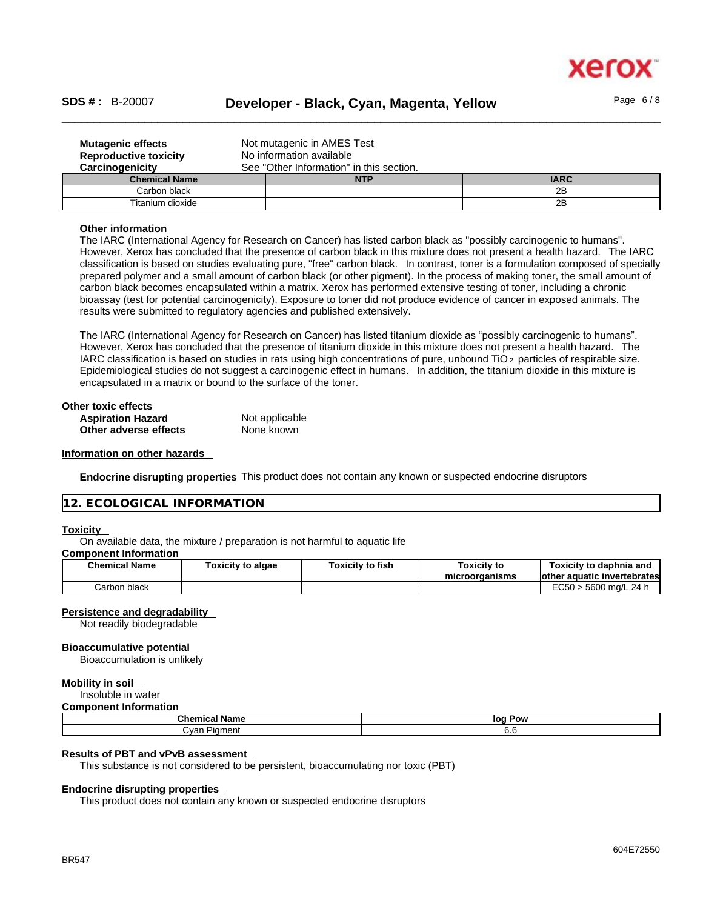

## \_\_\_\_\_\_\_\_\_\_\_\_\_\_\_\_\_\_\_\_\_\_\_\_\_\_\_\_\_\_\_\_\_\_\_\_\_\_\_\_\_\_\_\_\_\_\_\_\_\_\_\_\_\_\_\_\_\_\_\_\_\_\_\_\_\_\_\_\_\_\_\_\_\_\_\_\_\_\_\_\_\_\_\_\_\_\_\_\_\_\_\_\_\_ **SDS # :** B-20007 **Developer - Black, Cyan, Magenta, Yellow** Page 6 / 8

| <b>Mutagenic effects</b><br><b>Reproductive toxicity</b> | Not mutagenic in AMES Test               |  |    |  |  |
|----------------------------------------------------------|------------------------------------------|--|----|--|--|
|                                                          | No information available                 |  |    |  |  |
| Carcinogenicity                                          | See "Other Information" in this section. |  |    |  |  |
| <b>IARC</b><br><b>Chemical Name</b><br><b>NTP</b>        |                                          |  |    |  |  |
| Carbon black<br>2B                                       |                                          |  |    |  |  |
| Titanium dioxide                                         |                                          |  | 2B |  |  |

#### **Other information**

The IARC (International Agency for Research on Cancer) has listed carbon black as "possibly carcinogenic to humans". However, Xerox has concluded that the presence of carbon black in this mixture does not present a health hazard. The IARC classification is based on studies evaluating pure, "free" carbon black. In contrast, toner is a formulation composed of specially prepared polymer and a small amount of carbon black (or other pigment). In the process of making toner, the small amount of carbon black becomes encapsulated within a matrix. Xerox has performed extensive testing of toner, including a chronic bioassay (test for potential carcinogenicity). Exposure to toner did not produce evidence of cancer in exposed animals. The results were submitted to regulatory agencies and published extensively.

The IARC (International Agency for Research on Cancer) has listed titanium dioxide as "possibly carcinogenic to humans". However, Xerox has concluded that the presence of titanium dioxide in this mixture does not present a health hazard. The IARC classification is based on studies in rats using high concentrations of pure, unbound TiO 2 particles of respirable size. Epidemiological studies do not suggest a carcinogenic effect in humans. In addition, the titanium dioxide in this mixture is encapsulated in a matrix or bound to the surface of the toner.

| Other toxic effects      |                |  |
|--------------------------|----------------|--|
| <b>Aspiration Hazard</b> | Not applicable |  |
| Other adverse effects    | None known     |  |

#### **Information on other hazards**

**Endocrine disrupting properties** This product does not contain any known or suspected endocrine disruptors

#### **12. ECOLOGICAL INFORMATION**

#### **Toxicity**

On available data, the mixture / preparation is not harmful to aquatic life

#### **Component Information**

| <b>Chemical Name</b> | <b>Foxicity to algae</b> | Toxicity to fish | <b>Toxicity to</b> | Toxicitv to daphnia and                     |
|----------------------|--------------------------|------------------|--------------------|---------------------------------------------|
|                      |                          |                  | microorganisms     | lother aquatic invertebrates                |
| Carbon black         |                          |                  |                    | $T_{\alpha}$<br>) ma/L 24 h<br>5600<br>⊏∪ວ∪ |

#### **Persistence and degradability**

Not readily biodegradable

#### **Bioaccumulative potential**

Bioaccumulation is unlikely

#### **Mobility in soil**

Insoluble in water

#### **Component Information**

| Chemic<br>⊺Name<br>.                          | loo<br>Pow |  |
|-----------------------------------------------|------------|--|
| n<br><b>Piament</b><br>$\cdot$ $\cdot$<br>vau | v.o        |  |

#### **Results of PBT and vPvB assessment**

This substance is not considered to be persistent, bioaccumulating nor toxic (PBT)

#### **Endocrine disrupting properties**

This product does not contain any known or suspected endocrine disruptors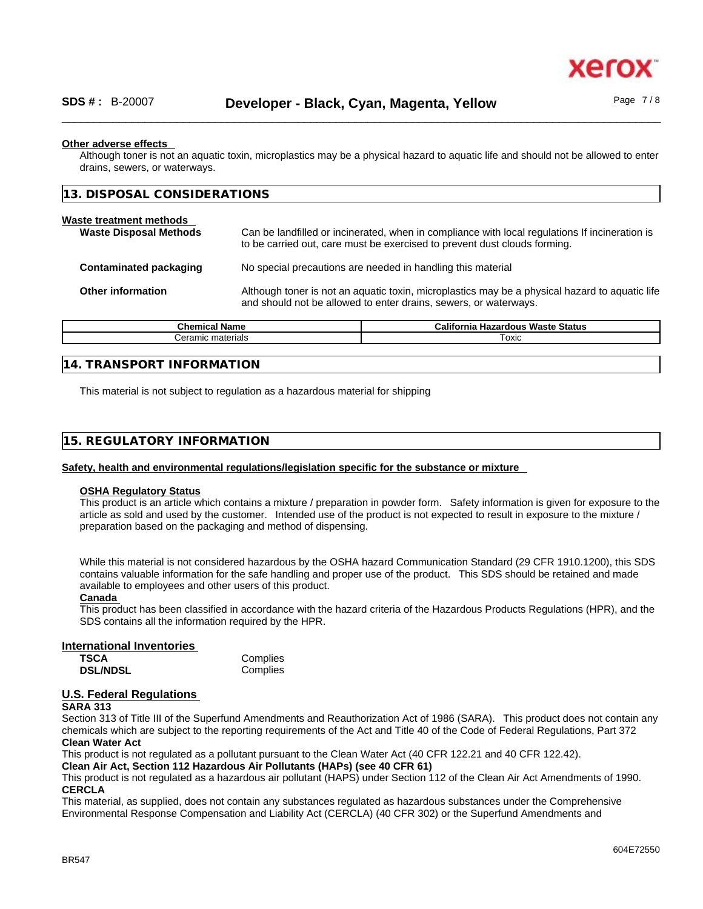

#### **Other adverse effects**

Although toner is not an aquatic toxin, microplastics may be a physical hazard to aquatic life and should not be allowed to enter drains, sewers, or waterways.

| 13. DISPOSAL CONSIDERATIONS                              |                                                                                                                                                                    |                                                                                                                                                                             |  |
|----------------------------------------------------------|--------------------------------------------------------------------------------------------------------------------------------------------------------------------|-----------------------------------------------------------------------------------------------------------------------------------------------------------------------------|--|
| Waste treatment methods<br><b>Waste Disposal Methods</b> |                                                                                                                                                                    | Can be landfilled or incinerated, when in compliance with local regulations If incineration is<br>to be carried out, care must be exercised to prevent dust clouds forming. |  |
| Contaminated packaging                                   |                                                                                                                                                                    | No special precautions are needed in handling this material                                                                                                                 |  |
| <b>Other information</b>                                 | Although toner is not an aquatic toxin, microplastics may be a physical hazard to aquatic life<br>and should not be allowed to enter drains, sewers, or waterways. |                                                                                                                                                                             |  |
| Ohnesteel Magazi                                         |                                                                                                                                                                    | California Happenhave Marcha Chatrie                                                                                                                                        |  |

| Chemical<br>∵Name            | Jaliforr i<br><b>Waste Status</b><br>izardous<br>rnia<br>на. |
|------------------------------|--------------------------------------------------------------|
| materials<br><i>∴</i> eramıc | Toxic                                                        |
|                              |                                                              |

#### **14. TRANSPORT INFORMATION**

This material is not subject to regulation as a hazardous material for shipping

#### **15. REGULATORY INFORMATION**

#### **Safety, health and environmental regulations/legislation specific for the substance or mixture**

## **OSHA Regulatory Status**

This product is an article which contains a mixture / preparation in powder form. Safety information is given for exposure to the article as sold and used by the customer. Intended use of the product is not expected to result in exposure to the mixture / preparation based on the packaging and method of dispensing.

While this material is not considered hazardous by the OSHA hazard Communication Standard (29 CFR 1910.1200), this SDS contains valuable information for the safe handling and proper use of the product. This SDS should be retained and made available to employees and other users of this product.

#### **Canada**

This product has been classified in accordance with the hazard criteria of the Hazardous Products Regulations (HPR), and the SDS contains all the information required by the HPR.

#### **International Inventories**

| <b>TSCA</b>     | Complies |
|-----------------|----------|
| <b>DSL/NDSL</b> | Complies |

#### **U.S. Federal Regulations**

#### **SARA 313**

Section 313 of Title III of the Superfund Amendments and Reauthorization Act of 1986 (SARA). This product does not contain any chemicals which are subject to the reporting requirements of the Act and Title 40 of the Code of Federal Regulations, Part 372 **Clean Water Act**

This product is not regulated as a pollutant pursuant to the Clean Water Act (40 CFR 122.21 and 40 CFR 122.42).

**Clean Air Act,Section 112 Hazardous Air Pollutants (HAPs) (see 40 CFR 61)**

This product is not regulated as a hazardous air pollutant (HAPS) under Section 112 of the Clean Air Act Amendments of 1990. **CERCLA**

This material, as supplied, does not contain any substances regulated as hazardous substances under the Comprehensive Environmental Response Compensation and Liability Act (CERCLA) (40 CFR 302) or the Superfund Amendments and